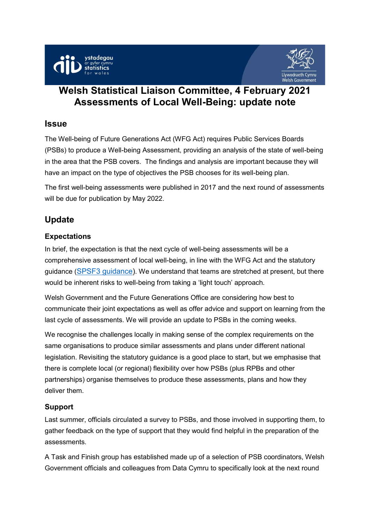



# **Welsh Statistical Liaison Committee, 4 February 2021 Assessments of Local Well-Being: update note**

### **Issue**

The Well-being of Future Generations Act (WFG Act) requires Public Services Boards (PSBs) to produce a Well-being Assessment, providing an analysis of the state of well-being in the area that the PSB covers. The findings and analysis are important because they will have an impact on the type of objectives the PSB chooses for its well-being plan.

The first well-being assessments were published in 2017 and the next round of assessments will be due for publication by May 2022.

## **Update**

### **Expectations**

In brief, the expectation is that the next cycle of well-being assessments will be a comprehensive assessment of local well-being, in line with the WFG Act and the statutory guidance ([SPSF3 guidance\)](https://gov.wales/well-being-future-generations-public-services-boards-guidance). We understand that teams are stretched at present, but there would be inherent risks to well-being from taking a 'light touch' approach.

Welsh Government and the Future Generations Office are considering how best to communicate their joint expectations as well as offer advice and support on learning from the last cycle of assessments. We will provide an update to PSBs in the coming weeks.

We recognise the challenges locally in making sense of the complex requirements on the same organisations to produce similar assessments and plans under different national legislation. Revisiting the statutory guidance is a good place to start, but we emphasise that there is complete local (or regional) flexibility over how PSBs (plus RPBs and other partnerships) organise themselves to produce these assessments, plans and how they deliver them.

#### **Support**

Last summer, officials circulated a survey to PSBs, and those involved in supporting them, to gather feedback on the type of support that they would find helpful in the preparation of the assessments.

A Task and Finish group has established made up of a selection of PSB coordinators, Welsh Government officials and colleagues from Data Cymru to specifically look at the next round